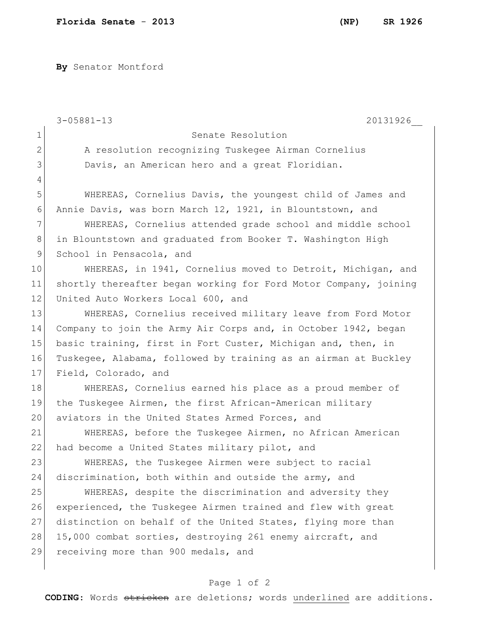**By** Senator Montford

|                | $3 - 05881 - 13$<br>20131926                                     |
|----------------|------------------------------------------------------------------|
| $\mathbf 1$    | Senate Resolution                                                |
| $\mathbf{2}$   | A resolution recognizing Tuskegee Airman Cornelius               |
| 3              | Davis, an American hero and a great Floridian.                   |
| $\overline{4}$ |                                                                  |
| 5              | WHEREAS, Cornelius Davis, the youngest child of James and        |
| 6              | Annie Davis, was born March 12, 1921, in Blountstown, and        |
| 7              | WHEREAS, Cornelius attended grade school and middle school       |
| 8              | in Blountstown and graduated from Booker T. Washington High      |
| $\mathsf 9$    | School in Pensacola, and                                         |
| 10             | WHEREAS, in 1941, Cornelius moved to Detroit, Michigan, and      |
| 11             | shortly thereafter began working for Ford Motor Company, joining |
| 12             | United Auto Workers Local 600, and                               |
| 13             | WHEREAS, Cornelius received military leave from Ford Motor       |
| 14             | Company to join the Army Air Corps and, in October 1942, began   |
| 15             | basic training, first in Fort Custer, Michigan and, then, in     |
| 16             | Tuskegee, Alabama, followed by training as an airman at Buckley  |
| 17             | Field, Colorado, and                                             |
| 18             | WHEREAS, Cornelius earned his place as a proud member of         |
| 19             | the Tuskegee Airmen, the first African-American military         |
| 20             | aviators in the United States Armed Forces, and                  |
| 21             | WHEREAS, before the Tuskegee Airmen, no African American         |
| 22             | had become a United States military pilot, and                   |
| 23             | WHEREAS, the Tuskegee Airmen were subject to racial              |
| 24             | discrimination, both within and outside the army, and            |
| 25             | WHEREAS, despite the discrimination and adversity they           |
| 26             | experienced, the Tuskeqee Airmen trained and flew with great     |
| 27             | distinction on behalf of the United States, flying more than     |
| 28             | 15,000 combat sorties, destroying 261 enemy aircraft, and        |
| 29             | receiving more than 900 medals, and                              |
|                |                                                                  |

## Page 1 of 2

**CODING**: Words stricken are deletions; words underlined are additions.